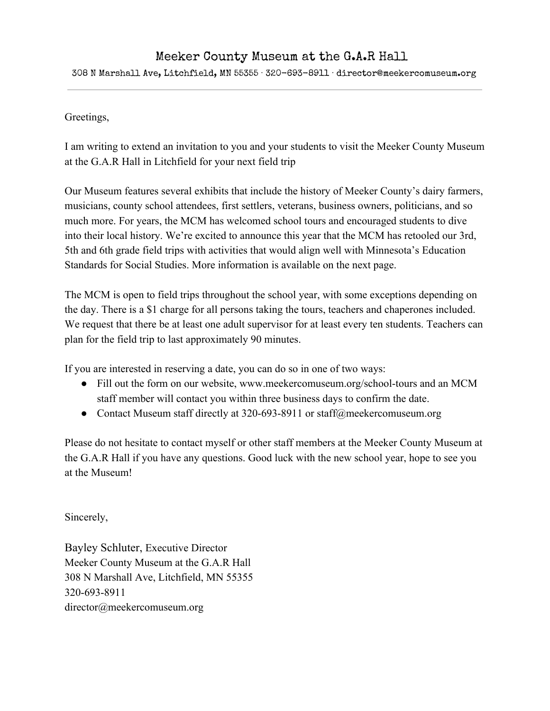#### Meeker County Museum at the G.A.R Hall

308 N Marshall Ave, Litchfield, MN 55355 · 320-693-8911 · director@meekercomuseum.org

#### Greetings,

I am writing to extend an invitation to you and your students to visit the Meeker County Museum at the G.A.R Hall in Litchfield for your next field trip

Our Museum features several exhibits that include the history of Meeker County's dairy farmers, musicians, county school attendees, first settlers, veterans, business owners, politicians, and so much more. For years, the MCM has welcomed school tours and encouraged students to dive into their local history. We're excited to announce this year that the MCM has retooled our 3rd, 5th and 6th grade field trips with activities that would align well with Minnesota's Education Standards for Social Studies. More information is available on the next page.

The MCM is open to field trips throughout the school year, with some exceptions depending on the day. There is a \$1 charge for all persons taking the tours, teachers and chaperones included. We request that there be at least one adult supervisor for at least every ten students. Teachers can plan for the field trip to last approximately 90 minutes.

If you are interested in reserving a date, you can do so in one of two ways:

- Fill out the form on our website, www.meekercomuseum.org/school-tours and an MCM staff member will contact you within three business days to confirm the date.
- Contact Museum staff directly at 320-693-8911 or staff@meekercomuseum.org

Please do not hesitate to contact myself or other staff members at the Meeker County Museum at the G.A.R Hall if you have any questions. Good luck with the new school year, hope to see you at the Museum!

Sincerely,

Bayley Schluter, Executive Director Meeker County Museum at the G.A.R Hall 308 N Marshall Ave, Litchfield, MN 55355 320-693-8911 director@meekercomuseum.org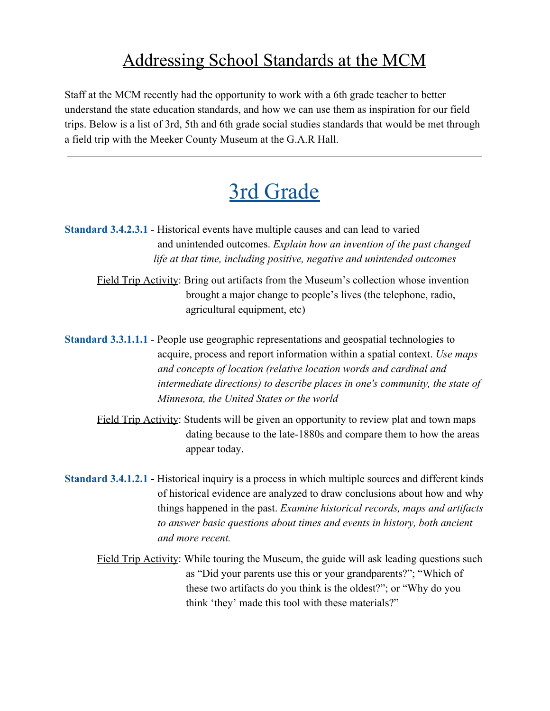#### Addressing School Standards at the MCM

Staff at the MCM recently had the opportunity to work with a 6th grade teacher to better understand the state education standards, and how we can use them as inspiration for our field trips. Below is a list of 3rd, 5th and 6th grade social studies standards that would be met through a field trip with the Meeker County Museum at the G.A.R Hall.

### 3rd Grade

- **Standard 3.4.2.3.1** Historical events have multiple causes and can lead to varied and unintended outcomes. *Explain how an invention of the past changed life at that time, including positive, negative and unintended outcomes*
	- Field Trip Activity: Bring out artifacts from the Museum's collection whose invention brought a major change to people's lives (the telephone, radio, agricultural equipment, etc)
- **Standard 3.3.1.1.1** People use geographic representations and geospatial technologies to acquire, process and report information within a spatial context. *Use maps and concepts of location (relative location words and cardinal and intermediate directions) to describe places in one's community, the state of Minnesota, the United States or the world*
	- Field Trip Activity: Students will be given an opportunity to review plat and town maps dating because to the late-1880s and compare them to how the areas appear today.
- **Standard 3.4.1.2.1** Historical inquiry is a process in which multiple sources and different kinds of historical evidence are analyzed to draw conclusions about how and why things happened in the past. *Examine historical records, maps and artifacts to answer basic questions about times and events in history, both ancient and more recent.*
	- Field Trip Activity: While touring the Museum, the guide will ask leading questions such as "Did your parents use this or your grandparents?"; "Which of these two artifacts do you think is the oldest?"; or "Why do you think 'they' made this tool with these materials?"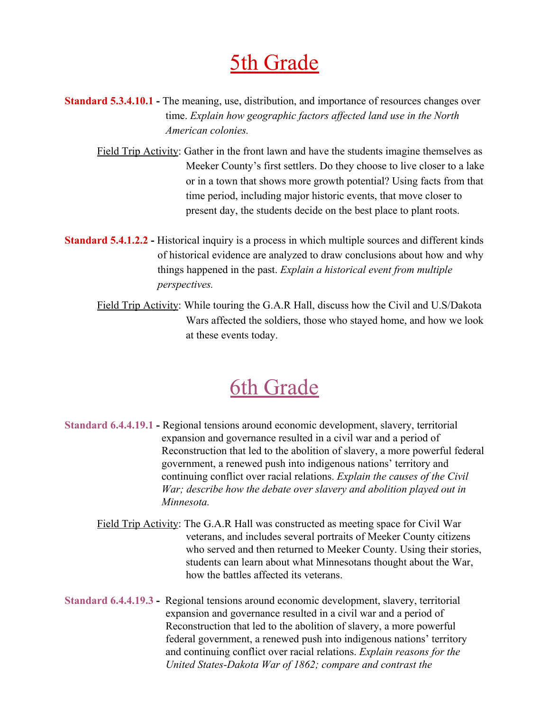## 5th Grade

- **Standard 5.3.4.10.1 The meaning, use, distribution, and importance of resources changes over** time. *Explain how geographic factors affected land use in the North American colonies.*
	- Field Trip Activity: Gather in the front lawn and have the students imagine themselves as Meeker County's first settlers. Do they choose to live closer to a lake or in a town that shows more growth potential? Using facts from that time period, including major historic events, that move closer to present day, the students decide on the best place to plant roots.
- **Standard 5.4.1.2.2** Historical inquiry is a process in which multiple sources and different kinds of historical evidence are analyzed to draw conclusions about how and why things happened in the past. *Explain a historical event from multiple perspectives.*
	- Field Trip Activity: While touring the G.A.R Hall, discuss how the Civil and U.S/Dakota Wars affected the soldiers, those who stayed home, and how we look at these events today.

# 6th Grade

- **Standard 6.4.4.19.1** Regional tensions around economic development, slavery, territorial expansion and governance resulted in a civil war and a period of Reconstruction that led to the abolition of slavery, a more powerful federal government, a renewed push into indigenous nations' territory and continuing conflict over racial relations. *Explain the causes of the Civil War; describe how the debate over slavery and abolition played out in Minnesota.*
	- Field Trip Activity: The G.A.R Hall was constructed as meeting space for Civil War veterans, and includes several portraits of Meeker County citizens who served and then returned to Meeker County. Using their stories, students can learn about what Minnesotans thought about the War, how the battles affected its veterans.
- **Standard 6.4.4.19.3** Regional tensions around economic development, slavery, territorial expansion and governance resulted in a civil war and a period of Reconstruction that led to the abolition of slavery, a more powerful federal government, a renewed push into indigenous nations' territory and continuing conflict over racial relations. *Explain reasons for the United States-Dakota War of 1862; compare and contrast the*